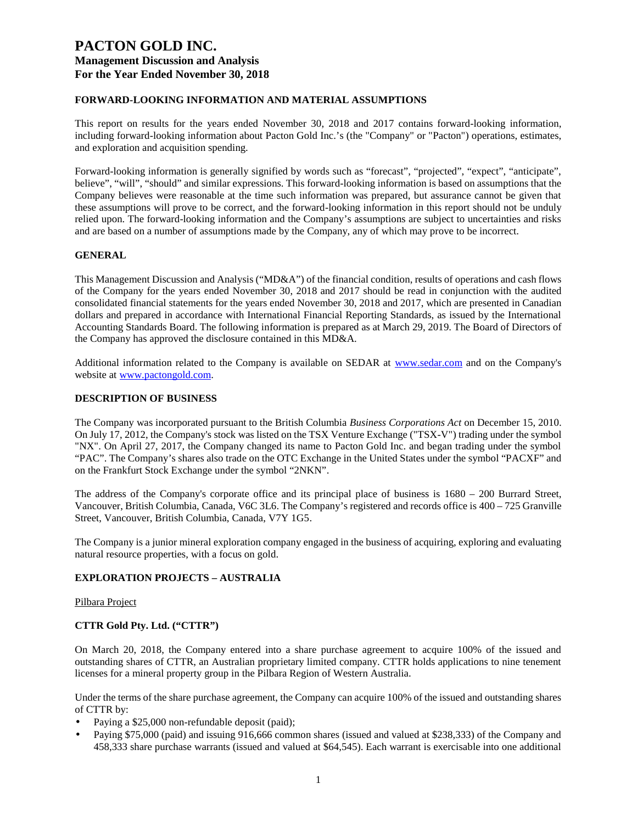## **FORWARD-LOOKING INFORMATION AND MATERIAL ASSUMPTIONS**

This report on results for the years ended November 30, 2018 and 2017 contains forward-looking information, including forward-looking information about Pacton Gold Inc.'s (the "Company" or "Pacton") operations, estimates, and exploration and acquisition spending.

Forward-looking information is generally signified by words such as "forecast", "projected", "expect", "anticipate", believe", "will", "should" and similar expressions. This forward-looking information is based on assumptions that the Company believes were reasonable at the time such information was prepared, but assurance cannot be given that these assumptions will prove to be correct, and the forward-looking information in this report should not be unduly relied upon. The forward-looking information and the Company's assumptions are subject to uncertainties and risks and are based on a number of assumptions made by the Company, any of which may prove to be incorrect.

## **GENERAL**

This Management Discussion and Analysis ("MD&A") of the financial condition, results of operations and cash flows of the Company for the years ended November 30, 2018 and 2017 should be read in conjunction with the audited consolidated financial statements for the years ended November 30, 2018 and 2017, which are presented in Canadian dollars and prepared in accordance with International Financial Reporting Standards, as issued by the International Accounting Standards Board. The following information is prepared as at March 29, 2019. The Board of Directors of the Company has approved the disclosure contained in this MD&A.

Additional information related to the Company is available on SEDAR at [www.sedar.com](http://www.sedar.com/) and on the Company's website at [www.pactongold.com.](http://www.pactongold.com/)

#### **DESCRIPTION OF BUSINESS**

The Company was incorporated pursuant to the British Columbia *Business Corporations Act* on December 15, 2010. On July 17, 2012, the Company's stock was listed on the TSX Venture Exchange ("TSX-V") trading under the symbol "NX". On April 27, 2017, the Company changed its name to Pacton Gold Inc. and began trading under the symbol "PAC". The Company's shares also trade on the OTC Exchange in the United States under the symbol "PACXF" and on the Frankfurt Stock Exchange under the symbol "2NKN".

The address of the Company's corporate office and its principal place of business is 1680 – 200 Burrard Street, Vancouver, British Columbia, Canada, V6C 3L6. The Company's registered and records office is 400 – 725 Granville Street, Vancouver, British Columbia, Canada, V7Y 1G5.

The Company is a junior mineral exploration company engaged in the business of acquiring, exploring and evaluating natural resource properties, with a focus on gold.

## **EXPLORATION PROJECTS – AUSTRALIA**

#### Pilbara Project

## **CTTR Gold Pty. Ltd. ("CTTR")**

On March 20, 2018, the Company entered into a share purchase agreement to acquire 100% of the issued and outstanding shares of CTTR, an Australian proprietary limited company. CTTR holds applications to nine tenement licenses for a mineral property group in the Pilbara Region of Western Australia.

Under the terms of the share purchase agreement, the Company can acquire 100% of the issued and outstanding shares of CTTR by:

- Paying a \$25,000 non-refundable deposit (paid);
- Paying \$75,000 (paid) and issuing 916,666 common shares (issued and valued at \$238,333) of the Company and 458,333 share purchase warrants (issued and valued at \$64,545). Each warrant is exercisable into one additional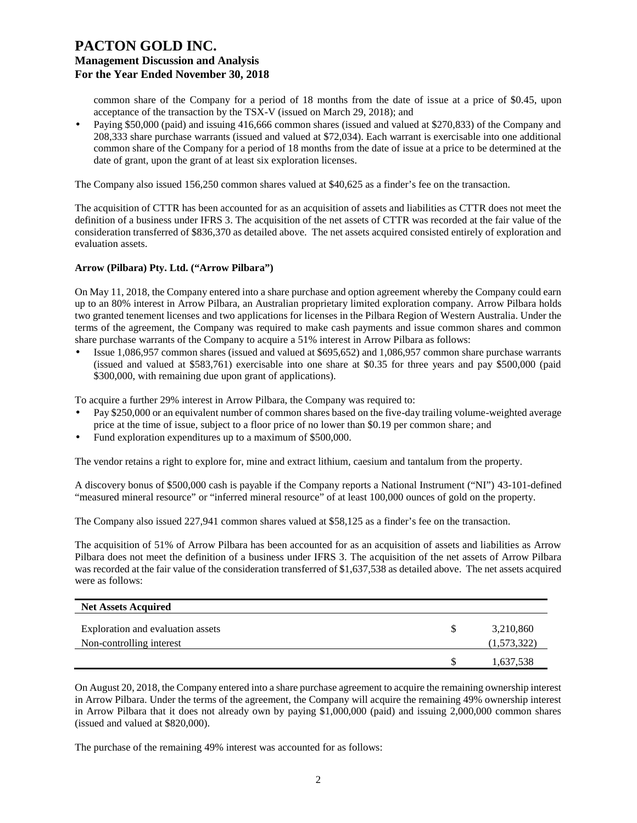common share of the Company for a period of 18 months from the date of issue at a price of \$0.45, upon acceptance of the transaction by the TSX-V (issued on March 29, 2018); and

• Paying \$50,000 (paid) and issuing 416,666 common shares (issued and valued at \$270,833) of the Company and 208,333 share purchase warrants (issued and valued at \$72,034). Each warrant is exercisable into one additional common share of the Company for a period of 18 months from the date of issue at a price to be determined at the date of grant, upon the grant of at least six exploration licenses.

The Company also issued 156,250 common shares valued at \$40,625 as a finder's fee on the transaction.

The acquisition of CTTR has been accounted for as an acquisition of assets and liabilities as CTTR does not meet the definition of a business under IFRS 3. The acquisition of the net assets of CTTR was recorded at the fair value of the consideration transferred of \$836,370 as detailed above. The net assets acquired consisted entirely of exploration and evaluation assets.

#### **Arrow (Pilbara) Pty. Ltd. ("Arrow Pilbara")**

On May 11, 2018, the Company entered into a share purchase and option agreement whereby the Company could earn up to an 80% interest in Arrow Pilbara, an Australian proprietary limited exploration company. Arrow Pilbara holds two granted tenement licenses and two applications for licenses in the Pilbara Region of Western Australia. Under the terms of the agreement, the Company was required to make cash payments and issue common shares and common share purchase warrants of the Company to acquire a 51% interest in Arrow Pilbara as follows:

• Issue 1,086,957 common shares (issued and valued at \$695,652) and 1,086,957 common share purchase warrants (issued and valued at \$583,761) exercisable into one share at \$0.35 for three years and pay \$500,000 (paid \$300,000, with remaining due upon grant of applications).

To acquire a further 29% interest in Arrow Pilbara, the Company was required to:

- Pay \$250,000 or an equivalent number of common shares based on the five-day trailing volume-weighted average price at the time of issue, subject to a floor price of no lower than \$0.19 per common share; and
- Fund exploration expenditures up to a maximum of \$500,000.

The vendor retains a right to explore for, mine and extract lithium, caesium and tantalum from the property.

A discovery bonus of \$500,000 cash is payable if the Company reports a National Instrument ("NI") 43-101-defined "measured mineral resource" or "inferred mineral resource" of at least 100,000 ounces of gold on the property.

The Company also issued 227,941 common shares valued at \$58,125 as a finder's fee on the transaction.

The acquisition of 51% of Arrow Pilbara has been accounted for as an acquisition of assets and liabilities as Arrow Pilbara does not meet the definition of a business under IFRS 3. The acquisition of the net assets of Arrow Pilbara was recorded at the fair value of the consideration transferred of \$1,637,538 as detailed above. The net assets acquired were as follows:

| <b>Net Assets Acquired</b>        |             |
|-----------------------------------|-------------|
| Exploration and evaluation assets | 3,210,860   |
| Non-controlling interest          | (1,573,322) |
|                                   | 1,637,538   |

On August 20, 2018, the Company entered into a share purchase agreement to acquire the remaining ownership interest in Arrow Pilbara. Under the terms of the agreement, the Company will acquire the remaining 49% ownership interest in Arrow Pilbara that it does not already own by paying \$1,000,000 (paid) and issuing 2,000,000 common shares (issued and valued at \$820,000).

The purchase of the remaining 49% interest was accounted for as follows: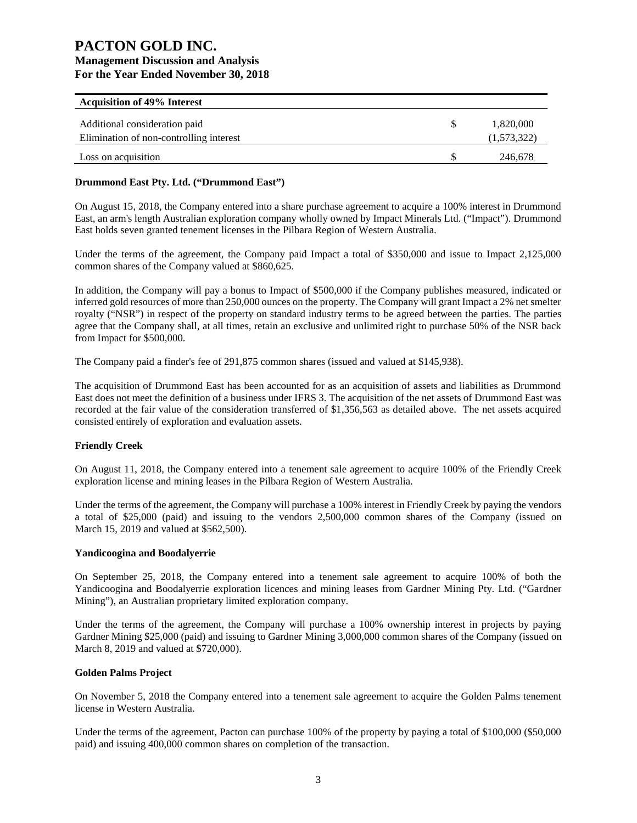| <b>Acquisition of 49% Interest</b>      |             |
|-----------------------------------------|-------------|
|                                         |             |
| Additional consideration paid           | 1,820,000   |
| Elimination of non-controlling interest | (1,573,322) |
| Loss on acquisition                     | 246.678     |

## **Drummond East Pty. Ltd. ("Drummond East")**

On August 15, 2018, the Company entered into a share purchase agreement to acquire a 100% interest in Drummond East, an arm's length Australian exploration company wholly owned by Impact Minerals Ltd. ("Impact"). Drummond East holds seven granted tenement licenses in the Pilbara Region of Western Australia.

Under the terms of the agreement, the Company paid Impact a total of \$350,000 and issue to Impact 2,125,000 common shares of the Company valued at \$860,625.

In addition, the Company will pay a bonus to Impact of \$500,000 if the Company publishes measured, indicated or inferred gold resources of more than 250,000 ounces on the property. The Company will grant Impact a 2% net smelter royalty ("NSR") in respect of the property on standard industry terms to be agreed between the parties. The parties agree that the Company shall, at all times, retain an exclusive and unlimited right to purchase 50% of the NSR back from Impact for \$500,000.

The Company paid a finder's fee of 291,875 common shares (issued and valued at \$145,938).

The acquisition of Drummond East has been accounted for as an acquisition of assets and liabilities as Drummond East does not meet the definition of a business under IFRS 3. The acquisition of the net assets of Drummond East was recorded at the fair value of the consideration transferred of \$1,356,563 as detailed above. The net assets acquired consisted entirely of exploration and evaluation assets.

## **Friendly Creek**

On August 11, 2018, the Company entered into a tenement sale agreement to acquire 100% of the Friendly Creek exploration license and mining leases in the Pilbara Region of Western Australia.

Under the terms of the agreement, the Company will purchase a 100% interest in Friendly Creek by paying the vendors a total of \$25,000 (paid) and issuing to the vendors 2,500,000 common shares of the Company (issued on March 15, 2019 and valued at \$562,500).

#### **Yandicoogina and Boodalyerrie**

On September 25, 2018, the Company entered into a tenement sale agreement to acquire 100% of both the Yandicoogina and Boodalyerrie exploration licences and mining leases from Gardner Mining Pty. Ltd. ("Gardner Mining"), an Australian proprietary limited exploration company.

Under the terms of the agreement, the Company will purchase a 100% ownership interest in projects by paying Gardner Mining \$25,000 (paid) and issuing to Gardner Mining 3,000,000 common shares of the Company (issued on March 8, 2019 and valued at \$720,000).

## **Golden Palms Project**

On November 5, 2018 the Company entered into a tenement sale agreement to acquire the Golden Palms tenement license in Western Australia.

Under the terms of the agreement, Pacton can purchase 100% of the property by paying a total of \$100,000 (\$50,000 paid) and issuing 400,000 common shares on completion of the transaction.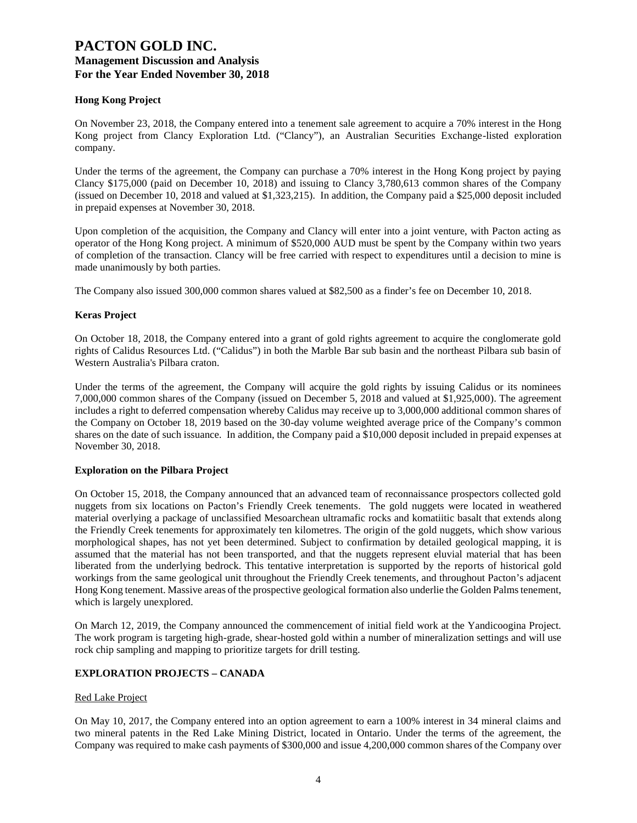## **Hong Kong Project**

On November 23, 2018, the Company entered into a tenement sale agreement to acquire a 70% interest in the Hong Kong project from Clancy Exploration Ltd. ("Clancy"), an Australian Securities Exchange-listed exploration company.

Under the terms of the agreement, the Company can purchase a 70% interest in the Hong Kong project by paying Clancy \$175,000 (paid on December 10, 2018) and issuing to Clancy 3,780,613 common shares of the Company (issued on December 10, 2018 and valued at \$1,323,215). In addition, the Company paid a \$25,000 deposit included in prepaid expenses at November 30, 2018.

Upon completion of the acquisition, the Company and Clancy will enter into a joint venture, with Pacton acting as operator of the Hong Kong project. A minimum of \$520,000 AUD must be spent by the Company within two years of completion of the transaction. Clancy will be free carried with respect to expenditures until a decision to mine is made unanimously by both parties.

The Company also issued 300,000 common shares valued at \$82,500 as a finder's fee on December 10, 2018.

## **Keras Project**

On October 18, 2018, the Company entered into a grant of gold rights agreement to acquire the conglomerate gold rights of Calidus Resources Ltd. ("Calidus") in both the Marble Bar sub basin and the northeast Pilbara sub basin of Western Australia's Pilbara craton.

Under the terms of the agreement, the Company will acquire the gold rights by issuing Calidus or its nominees 7,000,000 common shares of the Company (issued on December 5, 2018 and valued at \$1,925,000). The agreement includes a right to deferred compensation whereby Calidus may receive up to 3,000,000 additional common shares of the Company on October 18, 2019 based on the 30-day volume weighted average price of the Company's common shares on the date of such issuance. In addition, the Company paid a \$10,000 deposit included in prepaid expenses at November 30, 2018.

## **Exploration on the Pilbara Project**

On October 15, 2018, the Company announced that an advanced team of reconnaissance prospectors collected gold nuggets from six locations on Pacton's Friendly Creek tenements. The gold nuggets were located in weathered material overlying a package of unclassified Mesoarchean ultramafic rocks and komatiitic basalt that extends along the Friendly Creek tenements for approximately ten kilometres. The origin of the gold nuggets, which show various morphological shapes, has not yet been determined. Subject to confirmation by detailed geological mapping, it is assumed that the material has not been transported, and that the nuggets represent eluvial material that has been liberated from the underlying bedrock. This tentative interpretation is supported by the reports of historical gold workings from the same geological unit throughout the Friendly Creek tenements, and throughout Pacton's adjacent Hong Kong tenement. Massive areas of the prospective geological formation also underlie the Golden Palms tenement, which is largely unexplored.

On March 12, 2019, the Company announced the commencement of initial field work at the Yandicoogina Project. The work program is targeting high-grade, shear-hosted gold within a number of mineralization settings and will use rock chip sampling and mapping to prioritize targets for drill testing.

## **EXPLORATION PROJECTS – CANADA**

## Red Lake Project

On May 10, 2017, the Company entered into an option agreement to earn a 100% interest in 34 mineral claims and two mineral patents in the Red Lake Mining District, located in Ontario. Under the terms of the agreement, the Company was required to make cash payments of \$300,000 and issue 4,200,000 common shares of the Company over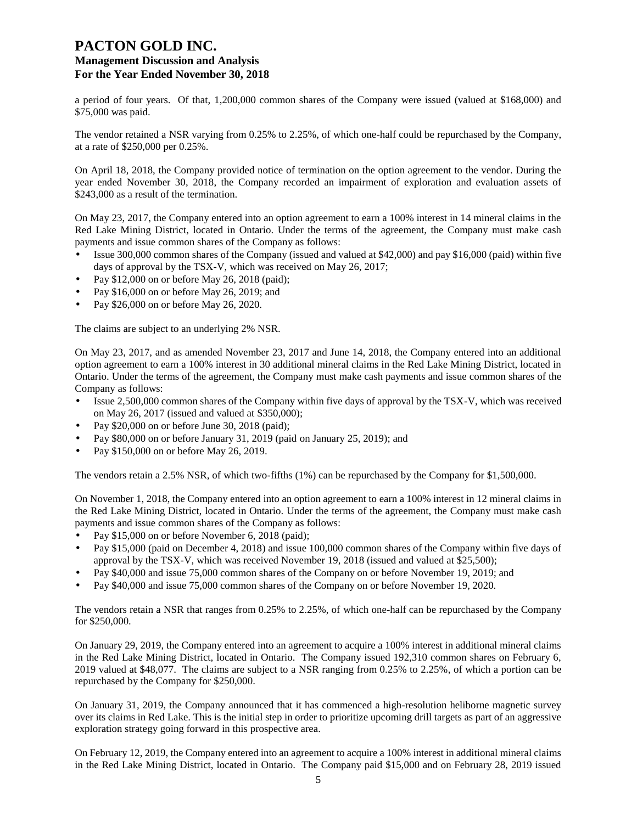a period of four years. Of that, 1,200,000 common shares of the Company were issued (valued at \$168,000) and \$75,000 was paid.

The vendor retained a NSR varying from 0.25% to 2.25%, of which one-half could be repurchased by the Company, at a rate of \$250,000 per 0.25%.

On April 18, 2018, the Company provided notice of termination on the option agreement to the vendor. During the year ended November 30, 2018, the Company recorded an impairment of exploration and evaluation assets of \$243,000 as a result of the termination.

On May 23, 2017, the Company entered into an option agreement to earn a 100% interest in 14 mineral claims in the Red Lake Mining District, located in Ontario. Under the terms of the agreement, the Company must make cash payments and issue common shares of the Company as follows:

- Issue 300,000 common shares of the Company (issued and valued at \$42,000) and pay \$16,000 (paid) within five days of approval by the TSX-V, which was received on May 26, 2017;
- Pay \$12,000 on or before May 26, 2018 (paid);
- Pay \$16,000 on or before May 26, 2019; and
- Pay \$26,000 on or before May 26, 2020.

The claims are subject to an underlying 2% NSR.

On May 23, 2017, and as amended November 23, 2017 and June 14, 2018, the Company entered into an additional option agreement to earn a 100% interest in 30 additional mineral claims in the Red Lake Mining District, located in Ontario. Under the terms of the agreement, the Company must make cash payments and issue common shares of the Company as follows:

- Issue 2,500,000 common shares of the Company within five days of approval by the TSX-V, which was received on May 26, 2017 (issued and valued at \$350,000);
- Pay \$20,000 on or before June 30, 2018 (paid);
- Pay \$80,000 on or before January 31, 2019 (paid on January 25, 2019); and
- Pay \$150,000 on or before May 26, 2019.

The vendors retain a 2.5% NSR, of which two-fifths (1%) can be repurchased by the Company for \$1,500,000.

On November 1, 2018, the Company entered into an option agreement to earn a 100% interest in 12 mineral claims in the Red Lake Mining District, located in Ontario. Under the terms of the agreement, the Company must make cash payments and issue common shares of the Company as follows:

- Pay \$15,000 on or before November 6, 2018 (paid);
- Pay \$15,000 (paid on December 4, 2018) and issue 100,000 common shares of the Company within five days of approval by the TSX-V, which was received November 19, 2018 (issued and valued at \$25,500);
- Pay \$40,000 and issue 75,000 common shares of the Company on or before November 19, 2019; and
- Pay \$40,000 and issue 75,000 common shares of the Company on or before November 19, 2020.

The vendors retain a NSR that ranges from 0.25% to 2.25%, of which one-half can be repurchased by the Company for \$250,000.

On January 29, 2019, the Company entered into an agreement to acquire a 100% interest in additional mineral claims in the Red Lake Mining District, located in Ontario. The Company issued 192,310 common shares on February 6, 2019 valued at \$48,077. The claims are subject to a NSR ranging from 0.25% to 2.25%, of which a portion can be repurchased by the Company for \$250,000.

On January 31, 2019, the Company announced that it has commenced a high-resolution heliborne magnetic survey over its claims in Red Lake. This is the initial step in order to prioritize upcoming drill targets as part of an aggressive exploration strategy going forward in this prospective area.

On February 12, 2019, the Company entered into an agreement to acquire a 100% interest in additional mineral claims in the Red Lake Mining District, located in Ontario. The Company paid \$15,000 and on February 28, 2019 issued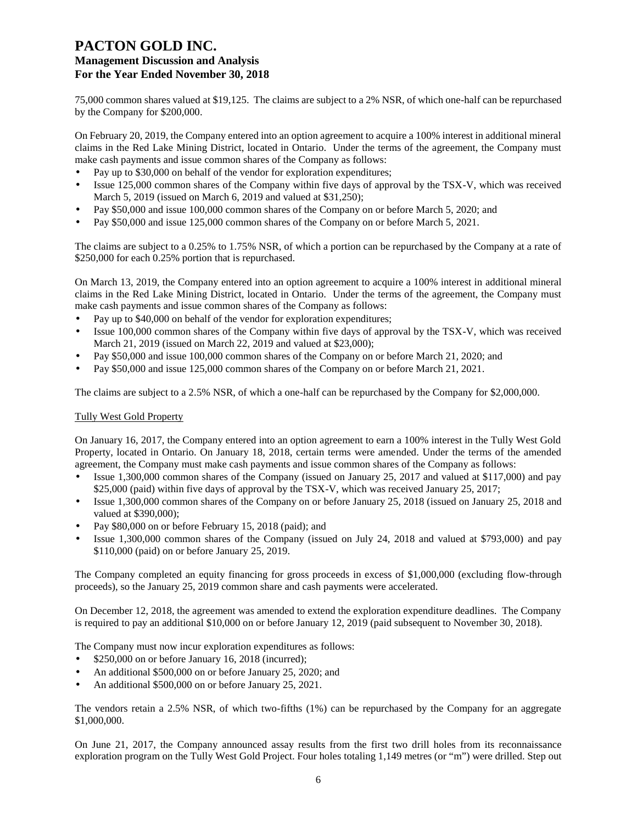75,000 common shares valued at \$19,125. The claims are subject to a 2% NSR, of which one-half can be repurchased by the Company for \$200,000.

On February 20, 2019, the Company entered into an option agreement to acquire a 100% interest in additional mineral claims in the Red Lake Mining District, located in Ontario. Under the terms of the agreement, the Company must make cash payments and issue common shares of the Company as follows:

- Pay up to \$30,000 on behalf of the vendor for exploration expenditures;
- Issue 125,000 common shares of the Company within five days of approval by the TSX-V, which was received March 5, 2019 (issued on March 6, 2019 and valued at \$31,250);
- Pay \$50,000 and issue 100,000 common shares of the Company on or before March 5, 2020; and
- Pay \$50,000 and issue 125,000 common shares of the Company on or before March 5, 2021.

The claims are subject to a 0.25% to 1.75% NSR, of which a portion can be repurchased by the Company at a rate of \$250,000 for each 0.25% portion that is repurchased.

On March 13, 2019, the Company entered into an option agreement to acquire a 100% interest in additional mineral claims in the Red Lake Mining District, located in Ontario. Under the terms of the agreement, the Company must make cash payments and issue common shares of the Company as follows:

- Pay up to \$40,000 on behalf of the vendor for exploration expenditures;
- Issue 100,000 common shares of the Company within five days of approval by the TSX-V, which was received March 21, 2019 (issued on March 22, 2019 and valued at \$23,000);
- Pay \$50,000 and issue 100,000 common shares of the Company on or before March 21, 2020; and
- Pay \$50,000 and issue 125,000 common shares of the Company on or before March 21, 2021.

The claims are subject to a 2.5% NSR, of which a one-half can be repurchased by the Company for \$2,000,000.

#### Tully West Gold Property

On January 16, 2017, the Company entered into an option agreement to earn a 100% interest in the Tully West Gold Property, located in Ontario. On January 18, 2018, certain terms were amended. Under the terms of the amended agreement, the Company must make cash payments and issue common shares of the Company as follows:

- Issue 1,300,000 common shares of the Company (issued on January 25, 2017 and valued at \$117,000) and pay \$25,000 (paid) within five days of approval by the TSX-V, which was received January 25, 2017;
- Issue 1,300,000 common shares of the Company on or before January 25, 2018 (issued on January 25, 2018 and valued at \$390,000);
- Pay \$80,000 on or before February 15, 2018 (paid); and
- Issue 1,300,000 common shares of the Company (issued on July 24, 2018 and valued at \$793,000) and pay \$110,000 (paid) on or before January 25, 2019.

The Company completed an equity financing for gross proceeds in excess of \$1,000,000 (excluding flow-through proceeds), so the January 25, 2019 common share and cash payments were accelerated.

On December 12, 2018, the agreement was amended to extend the exploration expenditure deadlines. The Company is required to pay an additional \$10,000 on or before January 12, 2019 (paid subsequent to November 30, 2018).

The Company must now incur exploration expenditures as follows:

- \$250,000 on or before January 16, 2018 (incurred);
- An additional \$500,000 on or before January 25, 2020; and
- An additional \$500,000 on or before January 25, 2021.

The vendors retain a 2.5% NSR, of which two-fifths (1%) can be repurchased by the Company for an aggregate \$1,000,000.

On June 21, 2017, the Company announced assay results from the first two drill holes from its reconnaissance exploration program on the Tully West Gold Project. Four holes totaling 1,149 metres (or "m") were drilled. Step out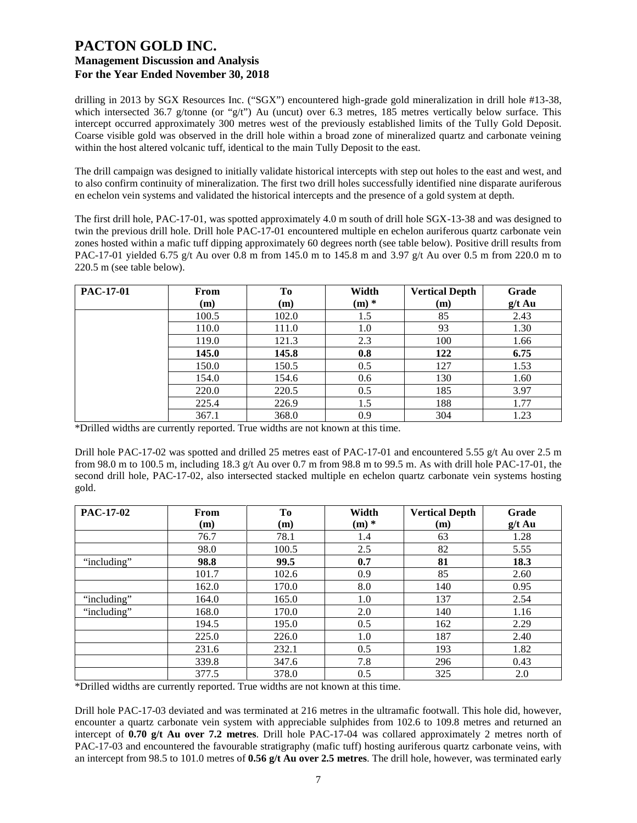drilling in 2013 by SGX Resources Inc. ("SGX") encountered high-grade gold mineralization in drill hole #13-38, which intersected 36.7 g/tonne (or "g/t") Au (uncut) over 6.3 metres, 185 metres vertically below surface. This intercept occurred approximately 300 metres west of the previously established limits of the Tully Gold Deposit. Coarse visible gold was observed in the drill hole within a broad zone of mineralized quartz and carbonate veining within the host altered volcanic tuff, identical to the main Tully Deposit to the east.

The drill campaign was designed to initially validate historical intercepts with step out holes to the east and west, and to also confirm continuity of mineralization. The first two drill holes successfully identified nine disparate auriferous en echelon vein systems and validated the historical intercepts and the presence of a gold system at depth.

The first drill hole, PAC-17-01, was spotted approximately 4.0 m south of drill hole SGX-13-38 and was designed to twin the previous drill hole. Drill hole PAC-17-01 encountered multiple en echelon auriferous quartz carbonate vein zones hosted within a mafic tuff dipping approximately 60 degrees north (see table below). Positive drill results from PAC-17-01 yielded 6.75 g/t Au over 0.8 m from 145.0 m to 145.8 m and 3.97 g/t Au over 0.5 m from 220.0 m to 220.5 m (see table below).

| <b>PAC-17-01</b> | From<br>(m) | To<br>(m) | Width<br>$(m)$ * | <b>Vertical Depth</b><br>(m) | Grade<br>$g/t$ Au |
|------------------|-------------|-----------|------------------|------------------------------|-------------------|
|                  | 100.5       | 102.0     | 1.5              | 85                           | 2.43              |
|                  | 110.0       | 111.0     | 1.0              | 93                           | 1.30              |
|                  | 119.0       | 121.3     | 2.3              | 100                          | 1.66              |
|                  | 145.0       | 145.8     | 0.8              | 122                          | 6.75              |
|                  | 150.0       | 150.5     | 0.5              | 127                          | 1.53              |
|                  | 154.0       | 154.6     | 0.6              | 130                          | 1.60              |
|                  | 220.0       | 220.5     | 0.5              | 185                          | 3.97              |
|                  | 225.4       | 226.9     | 1.5              | 188                          | 1.77              |
|                  | 367.1       | 368.0     | 0.9              | 304                          | 1.23              |

\*Drilled widths are currently reported. True widths are not known at this time.

Drill hole PAC-17-02 was spotted and drilled 25 metres east of PAC-17-01 and encountered 5.55 g/t Au over 2.5 m from 98.0 m to 100.5 m, including 18.3 g/t Au over 0.7 m from 98.8 m to 99.5 m. As with drill hole PAC-17-01, the second drill hole, PAC-17-02, also intersected stacked multiple en echelon quartz carbonate vein systems hosting gold.

| <b>PAC-17-02</b> | From  | To    | Width   | <b>Vertical Depth</b> | Grade    |
|------------------|-------|-------|---------|-----------------------|----------|
|                  | (m)   | (m)   | $(m)$ * | (m)                   | $g/t$ Au |
|                  | 76.7  | 78.1  | 1.4     | 63                    | 1.28     |
|                  | 98.0  | 100.5 | 2.5     | 82                    | 5.55     |
| "including"      | 98.8  | 99.5  | 0.7     | 81                    | 18.3     |
|                  | 101.7 | 102.6 | 0.9     | 85                    | 2.60     |
|                  | 162.0 | 170.0 | 8.0     | 140                   | 0.95     |
| "including"      | 164.0 | 165.0 | 1.0     | 137                   | 2.54     |
| "including"      | 168.0 | 170.0 | 2.0     | 140                   | 1.16     |
|                  | 194.5 | 195.0 | 0.5     | 162                   | 2.29     |
|                  | 225.0 | 226.0 | 1.0     | 187                   | 2.40     |
|                  | 231.6 | 232.1 | 0.5     | 193                   | 1.82     |
|                  | 339.8 | 347.6 | 7.8     | 296                   | 0.43     |
|                  | 377.5 | 378.0 | 0.5     | 325                   | 2.0      |

\*Drilled widths are currently reported. True widths are not known at this time.

Drill hole PAC-17-03 deviated and was terminated at 216 metres in the ultramafic footwall. This hole did, however, encounter a quartz carbonate vein system with appreciable sulphides from 102.6 to 109.8 metres and returned an intercept of **0.70 g/t Au over 7.2 metres**. Drill hole PAC-17-04 was collared approximately 2 metres north of PAC-17-03 and encountered the favourable stratigraphy (mafic tuff) hosting auriferous quartz carbonate veins, with an intercept from 98.5 to 101.0 metres of **0.56 g/t Au over 2.5 metres**. The drill hole, however, was terminated early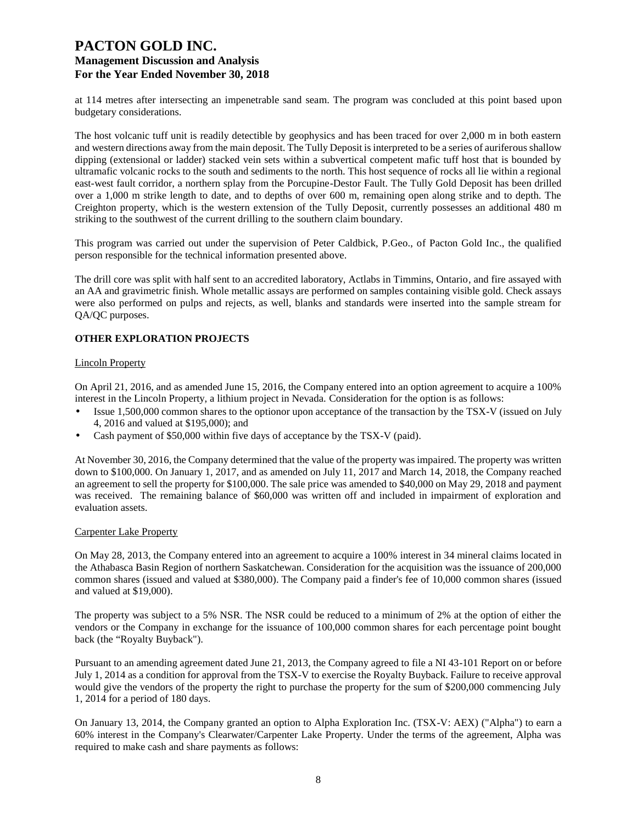at 114 metres after intersecting an impenetrable sand seam. The program was concluded at this point based upon budgetary considerations.

The host volcanic tuff unit is readily detectible by geophysics and has been traced for over 2,000 m in both eastern and western directions away from the main deposit. The Tully Deposit is interpreted to be a series of auriferous shallow dipping (extensional or ladder) stacked vein sets within a subvertical competent mafic tuff host that is bounded by ultramafic volcanic rocks to the south and sediments to the north. This host sequence of rocks all lie within a regional east-west fault corridor, a northern splay from the Porcupine-Destor Fault. The Tully Gold Deposit has been drilled over a 1,000 m strike length to date, and to depths of over 600 m, remaining open along strike and to depth. The Creighton property, which is the western extension of the Tully Deposit, currently possesses an additional 480 m striking to the southwest of the current drilling to the southern claim boundary.

This program was carried out under the supervision of Peter Caldbick, P.Geo., of Pacton Gold Inc., the qualified person responsible for the technical information presented above.

The drill core was split with half sent to an accredited laboratory, Actlabs in Timmins, Ontario, and fire assayed with an AA and gravimetric finish. Whole metallic assays are performed on samples containing visible gold. Check assays were also performed on pulps and rejects, as well, blanks and standards were inserted into the sample stream for QA/QC purposes.

## **OTHER EXPLORATION PROJECTS**

#### Lincoln Property

On April 21, 2016, and as amended June 15, 2016, the Company entered into an option agreement to acquire a 100% interest in the Lincoln Property, a lithium project in Nevada. Consideration for the option is as follows:

- Issue 1,500,000 common shares to the optionor upon acceptance of the transaction by the TSX-V (issued on July 4, 2016 and valued at \$195,000); and
- Cash payment of \$50,000 within five days of acceptance by the TSX-V (paid).

At November 30, 2016, the Company determined that the value of the property was impaired. The property was written down to \$100,000. On January 1, 2017, and as amended on July 11, 2017 and March 14, 2018, the Company reached an agreement to sell the property for \$100,000. The sale price was amended to \$40,000 on May 29, 2018 and payment was received. The remaining balance of \$60,000 was written off and included in impairment of exploration and evaluation assets.

#### Carpenter Lake Property

On May 28, 2013, the Company entered into an agreement to acquire a 100% interest in 34 mineral claims located in the Athabasca Basin Region of northern Saskatchewan. Consideration for the acquisition was the issuance of 200,000 common shares (issued and valued at \$380,000). The Company paid a finder's fee of 10,000 common shares (issued and valued at \$19,000).

The property was subject to a 5% NSR. The NSR could be reduced to a minimum of 2% at the option of either the vendors or the Company in exchange for the issuance of 100,000 common shares for each percentage point bought back (the "Royalty Buyback").

Pursuant to an amending agreement dated June 21, 2013, the Company agreed to file a NI 43-101 Report on or before July 1, 2014 as a condition for approval from the TSX-V to exercise the Royalty Buyback. Failure to receive approval would give the vendors of the property the right to purchase the property for the sum of \$200,000 commencing July 1, 2014 for a period of 180 days.

On January 13, 2014, the Company granted an option to Alpha Exploration Inc. (TSX-V: AEX) ("Alpha") to earn a 60% interest in the Company's Clearwater/Carpenter Lake Property. Under the terms of the agreement, Alpha was required to make cash and share payments as follows: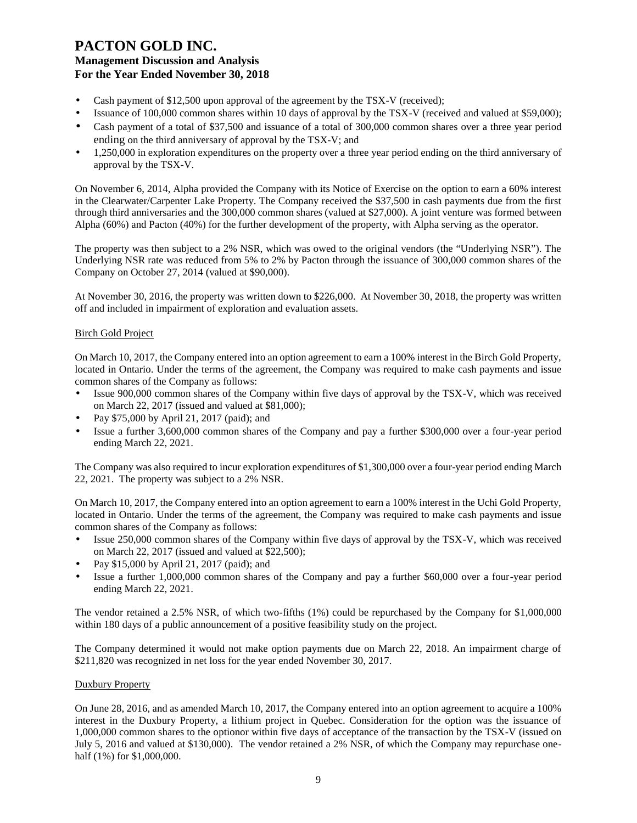- Cash payment of \$12,500 upon approval of the agreement by the TSX-V (received);
- Issuance of 100,000 common shares within 10 days of approval by the TSX-V (received and valued at \$59,000);
- Cash payment of a total of \$37,500 and issuance of a total of 300,000 common shares over a three year period ending on the third anniversary of approval by the TSX-V; and
- 1,250,000 in exploration expenditures on the property over a three year period ending on the third anniversary of approval by the TSX-V.

On November 6, 2014, Alpha provided the Company with its Notice of Exercise on the option to earn a 60% interest in the Clearwater/Carpenter Lake Property. The Company received the \$37,500 in cash payments due from the first through third anniversaries and the 300,000 common shares (valued at \$27,000). A joint venture was formed between Alpha (60%) and Pacton (40%) for the further development of the property, with Alpha serving as the operator.

The property was then subject to a 2% NSR, which was owed to the original vendors (the "Underlying NSR"). The Underlying NSR rate was reduced from 5% to 2% by Pacton through the issuance of 300,000 common shares of the Company on October 27, 2014 (valued at \$90,000).

At November 30, 2016, the property was written down to \$226,000. At November 30, 2018, the property was written off and included in impairment of exploration and evaluation assets.

## Birch Gold Project

On March 10, 2017, the Company entered into an option agreement to earn a 100% interest in the Birch Gold Property, located in Ontario. Under the terms of the agreement, the Company was required to make cash payments and issue common shares of the Company as follows:

- Issue 900,000 common shares of the Company within five days of approval by the TSX-V, which was received on March 22, 2017 (issued and valued at \$81,000);
- Pay \$75,000 by April 21, 2017 (paid); and
- Issue a further 3,600,000 common shares of the Company and pay a further \$300,000 over a four-year period ending March 22, 2021.

The Company was also required to incur exploration expenditures of \$1,300,000 over a four-year period ending March 22, 2021. The property was subject to a 2% NSR.

On March 10, 2017, the Company entered into an option agreement to earn a 100% interest in the Uchi Gold Property, located in Ontario. Under the terms of the agreement, the Company was required to make cash payments and issue common shares of the Company as follows:

- Issue 250,000 common shares of the Company within five days of approval by the TSX-V, which was received on March 22, 2017 (issued and valued at \$22,500);
- Pay \$15,000 by April 21, 2017 (paid); and
- Issue a further 1,000,000 common shares of the Company and pay a further \$60,000 over a four-year period ending March 22, 2021.

The vendor retained a 2.5% NSR, of which two-fifths (1%) could be repurchased by the Company for \$1,000,000 within 180 days of a public announcement of a positive feasibility study on the project.

The Company determined it would not make option payments due on March 22, 2018. An impairment charge of \$211,820 was recognized in net loss for the year ended November 30, 2017.

#### Duxbury Property

On June 28, 2016, and as amended March 10, 2017, the Company entered into an option agreement to acquire a 100% interest in the Duxbury Property, a lithium project in Quebec. Consideration for the option was the issuance of 1,000,000 common shares to the optionor within five days of acceptance of the transaction by the TSX-V (issued on July 5, 2016 and valued at \$130,000). The vendor retained a 2% NSR, of which the Company may repurchase onehalf (1%) for \$1,000,000.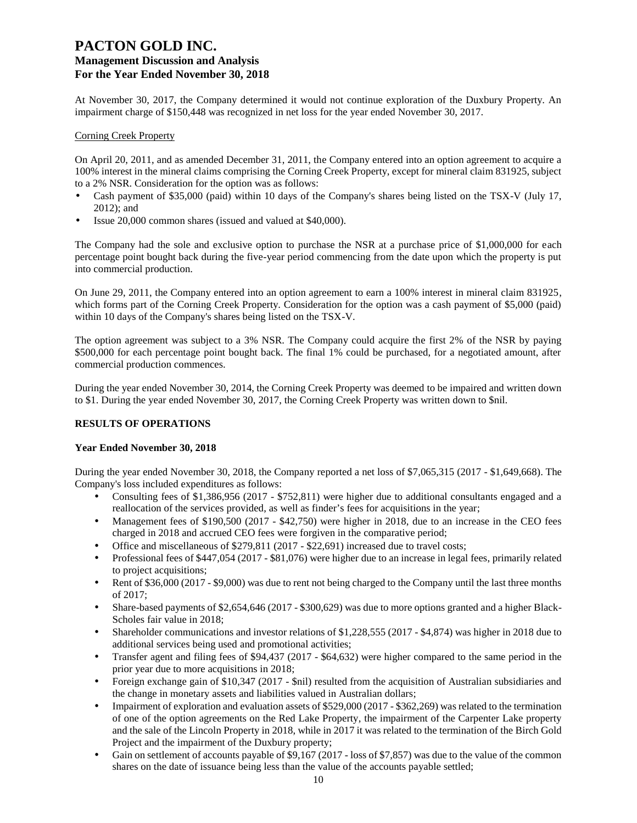At November 30, 2017, the Company determined it would not continue exploration of the Duxbury Property. An impairment charge of \$150,448 was recognized in net loss for the year ended November 30, 2017.

#### Corning Creek Property

On April 20, 2011, and as amended December 31, 2011, the Company entered into an option agreement to acquire a 100% interest in the mineral claims comprising the Corning Creek Property, except for mineral claim 831925, subject to a 2% NSR. Consideration for the option was as follows:

- Cash payment of \$35,000 (paid) within 10 days of the Company's shares being listed on the TSX-V (July 17, 2012); and
- Issue 20,000 common shares (issued and valued at \$40,000).

The Company had the sole and exclusive option to purchase the NSR at a purchase price of \$1,000,000 for each percentage point bought back during the five-year period commencing from the date upon which the property is put into commercial production.

On June 29, 2011, the Company entered into an option agreement to earn a 100% interest in mineral claim 831925, which forms part of the Corning Creek Property. Consideration for the option was a cash payment of \$5,000 (paid) within 10 days of the Company's shares being listed on the TSX-V.

The option agreement was subject to a 3% NSR. The Company could acquire the first 2% of the NSR by paying \$500,000 for each percentage point bought back. The final 1% could be purchased, for a negotiated amount, after commercial production commences.

During the year ended November 30, 2014, the Corning Creek Property was deemed to be impaired and written down to \$1. During the year ended November 30, 2017, the Corning Creek Property was written down to \$nil.

## **RESULTS OF OPERATIONS**

#### **Year Ended November 30, 2018**

During the year ended November 30, 2018, the Company reported a net loss of \$7,065,315 (2017 - \$1,649,668). The Company's loss included expenditures as follows:

- Consulting fees of \$1,386,956 (2017 \$752,811) were higher due to additional consultants engaged and a reallocation of the services provided, as well as finder's fees for acquisitions in the year;
- Management fees of \$190,500 (2017 \$42,750) were higher in 2018, due to an increase in the CEO fees charged in 2018 and accrued CEO fees were forgiven in the comparative period;
- Office and miscellaneous of \$279,811 (2017 \$22,691) increased due to travel costs;
- Professional fees of \$447,054 (2017 \$81,076) were higher due to an increase in legal fees, primarily related to project acquisitions;
- Rent of \$36,000 (2017 \$9,000) was due to rent not being charged to the Company until the last three months of 2017;
- Share-based payments of \$2,654,646 (2017 \$300,629) was due to more options granted and a higher Black-Scholes fair value in 2018;
- Shareholder communications and investor relations of \$1,228,555 (2017 \$4,874) was higher in 2018 due to additional services being used and promotional activities;
- Transfer agent and filing fees of \$94,437 (2017 \$64,632) were higher compared to the same period in the prior year due to more acquisitions in 2018;
- Foreign exchange gain of \$10,347 (2017 \$nil) resulted from the acquisition of Australian subsidiaries and the change in monetary assets and liabilities valued in Australian dollars;
- Impairment of exploration and evaluation assets of \$529,000 (2017 \$362,269) was related to the termination of one of the option agreements on the Red Lake Property, the impairment of the Carpenter Lake property and the sale of the Lincoln Property in 2018, while in 2017 it was related to the termination of the Birch Gold Project and the impairment of the Duxbury property;
- Gain on settlement of accounts payable of \$9,167 (2017 loss of \$7,857) was due to the value of the common shares on the date of issuance being less than the value of the accounts payable settled;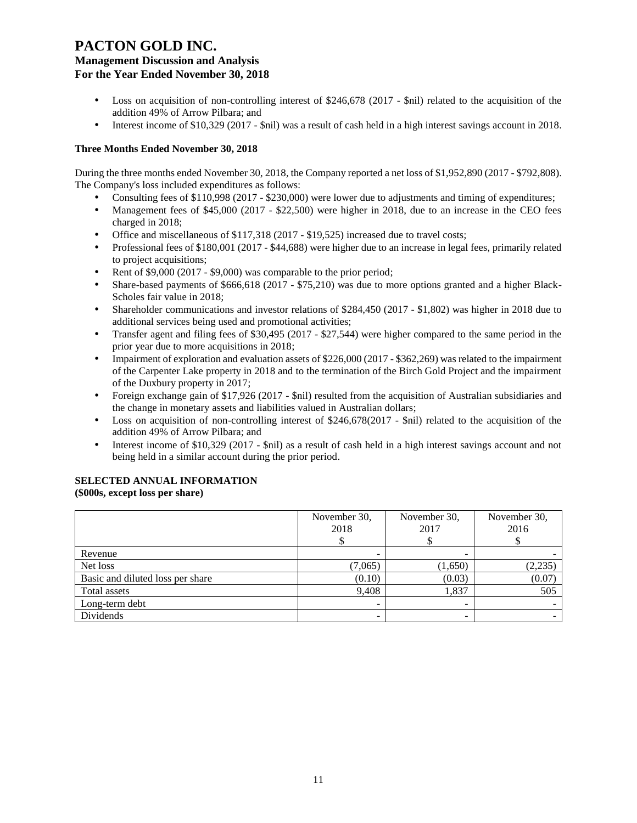# **PACTON GOLD INC.**

## **Management Discussion and Analysis For the Year Ended November 30, 2018**

- Loss on acquisition of non-controlling interest of \$246,678 (2017 \$nil) related to the acquisition of the addition 49% of Arrow Pilbara; and
- Interest income of \$10,329 (2017 \$nil) was a result of cash held in a high interest savings account in 2018.

## **Three Months Ended November 30, 2018**

During the three months ended November 30, 2018, the Company reported a net loss of \$1,952,890 (2017 - \$792,808). The Company's loss included expenditures as follows:

- Consulting fees of \$110,998 (2017 \$230,000) were lower due to adjustments and timing of expenditures;
- Management fees of \$45,000 (2017 \$22,500) were higher in 2018, due to an increase in the CEO fees charged in 2018;
- Office and miscellaneous of \$117,318 (2017 \$19,525) increased due to travel costs;
- Professional fees of \$180,001 (2017 \$44,688) were higher due to an increase in legal fees, primarily related to project acquisitions;
- Rent of \$9,000 (2017 \$9,000) was comparable to the prior period;
- Share-based payments of \$666,618 (2017 \$75,210) was due to more options granted and a higher Black-Scholes fair value in 2018;
- Shareholder communications and investor relations of \$284,450 (2017 \$1,802) was higher in 2018 due to additional services being used and promotional activities;
- Transfer agent and filing fees of \$30,495 (2017 \$27,544) were higher compared to the same period in the prior year due to more acquisitions in 2018;
- Impairment of exploration and evaluation assets of \$226,000 (2017 \$362,269) was related to the impairment of the Carpenter Lake property in 2018 and to the termination of the Birch Gold Project and the impairment of the Duxbury property in 2017;
- Foreign exchange gain of \$17,926 (2017 \$nil) resulted from the acquisition of Australian subsidiaries and the change in monetary assets and liabilities valued in Australian dollars;
- Loss on acquisition of non-controlling interest of \$246,678(2017 \$nil) related to the acquisition of the addition 49% of Arrow Pilbara; and
- Interest income of \$10,329 (2017 \$nil) as a result of cash held in a high interest savings account and not being held in a similar account during the prior period.

## **SELECTED ANNUAL INFORMATION**

**(\$000s, except loss per share)**

|                                  | November 30,<br>2018     | November 30,<br>2017 | November 30,<br>2016 |
|----------------------------------|--------------------------|----------------------|----------------------|
| Revenue                          |                          |                      |                      |
| Net loss                         | (7,065)                  | (1,650)              | (2, 235)             |
| Basic and diluted loss per share | (0.10)                   | (0.03)               | (0.07)               |
| Total assets                     | 9.408                    | 1,837                | 505                  |
| Long-term debt                   | $\overline{\phantom{a}}$ |                      |                      |
| Dividends                        |                          |                      |                      |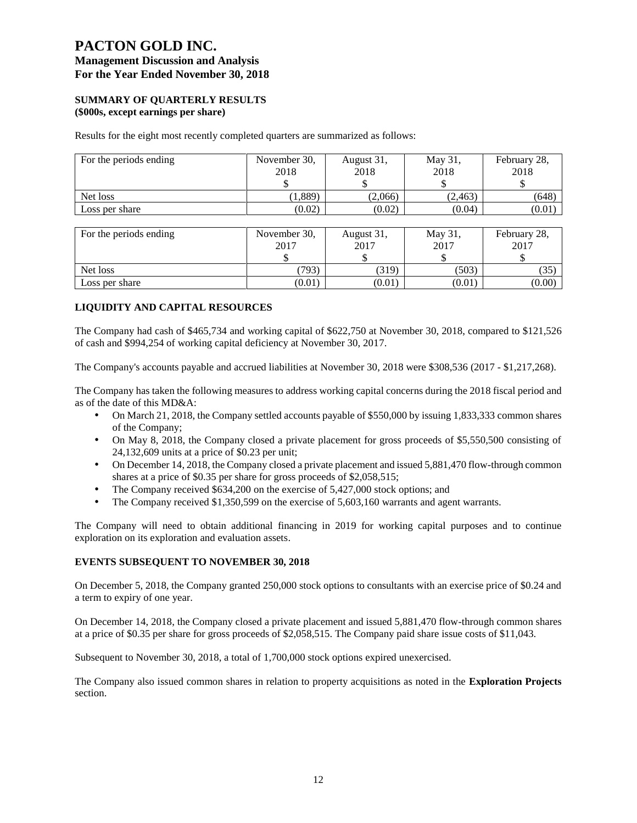# **PACTON GOLD INC.**

# **Management Discussion and Analysis For the Year Ended November 30, 2018**

#### **SUMMARY OF QUARTERLY RESULTS (\$000s, except earnings per share)**

Results for the eight most recently completed quarters are summarized as follows:

| 2018    | 2018    | May 31,<br>2018 | February 28,<br>2018 |
|---------|---------|-----------------|----------------------|
|         |         |                 |                      |
| (1,889) | (2,066) | (2, 463)        | (648)                |
| (0.02)  | (0.02)  | (0.04)          | (0.01)               |
|         |         |                 |                      |

| For the periods ending | November 30, | August 31, | May 31, | February 28, |
|------------------------|--------------|------------|---------|--------------|
|                        | 2017         | 2017       | 2017    | 2017         |
|                        | ۰D           |            |         |              |
| Net loss               | (793)        | (319)      | (503)   | 35           |
| Loss per share         | (0.01)       | (0.01)     | (0.01)  | (0.00)       |

## **LIQUIDITY AND CAPITAL RESOURCES**

The Company had cash of \$465,734 and working capital of \$622,750 at November 30, 2018, compared to \$121,526 of cash and \$994,254 of working capital deficiency at November 30, 2017.

The Company's accounts payable and accrued liabilities at November 30, 2018 were \$308,536 (2017 - \$1,217,268).

The Company has taken the following measures to address working capital concerns during the 2018 fiscal period and as of the date of this MD&A:

- On March 21, 2018, the Company settled accounts payable of \$550,000 by issuing 1,833,333 common shares of the Company;
- On May 8, 2018, the Company closed a private placement for gross proceeds of \$5,550,500 consisting of 24,132,609 units at a price of \$0.23 per unit;
- On December 14, 2018, the Company closed a private placement and issued 5,881,470 flow-through common shares at a price of \$0.35 per share for gross proceeds of \$2,058,515;
- The Company received \$634,200 on the exercise of 5,427,000 stock options; and
- The Company received \$1,350,599 on the exercise of 5,603,160 warrants and agent warrants.

The Company will need to obtain additional financing in 2019 for working capital purposes and to continue exploration on its exploration and evaluation assets.

## **EVENTS SUBSEQUENT TO NOVEMBER 30, 2018**

On December 5, 2018, the Company granted 250,000 stock options to consultants with an exercise price of \$0.24 and a term to expiry of one year.

On December 14, 2018, the Company closed a private placement and issued 5,881,470 flow-through common shares at a price of \$0.35 per share for gross proceeds of \$2,058,515. The Company paid share issue costs of \$11,043.

Subsequent to November 30, 2018, a total of 1,700,000 stock options expired unexercised.

The Company also issued common shares in relation to property acquisitions as noted in the **Exploration Projects** section.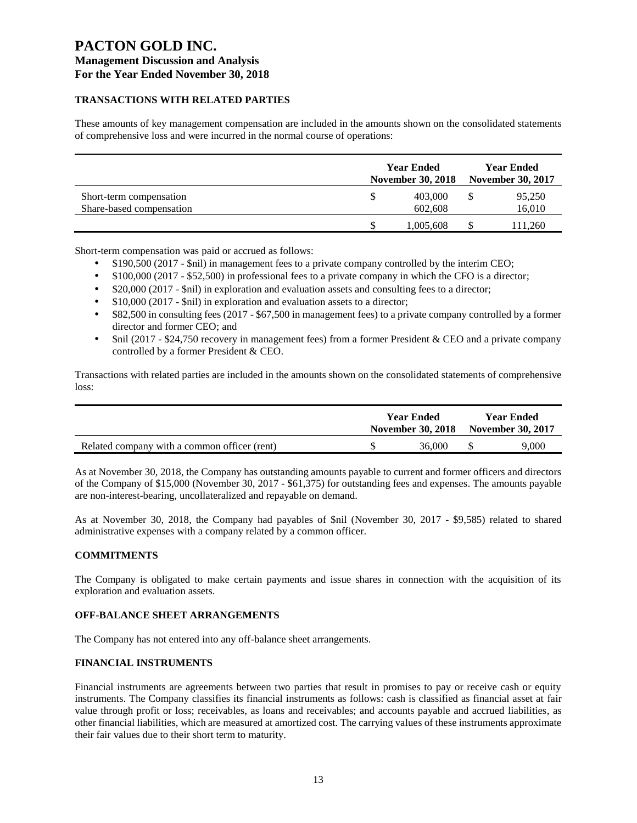## **TRANSACTIONS WITH RELATED PARTIES**

These amounts of key management compensation are included in the amounts shown on the consolidated statements of comprehensive loss and were incurred in the normal course of operations:

|                          | <b>Year Ended</b><br><b>November 30, 2018</b> |           |  | <b>Year Ended</b><br><b>November 30, 2017</b> |  |  |
|--------------------------|-----------------------------------------------|-----------|--|-----------------------------------------------|--|--|
| Short-term compensation  |                                               | 403,000   |  | 95,250                                        |  |  |
| Share-based compensation |                                               | 602,608   |  | 16,010                                        |  |  |
|                          |                                               | 1,005,608 |  | 111,260                                       |  |  |

Short-term compensation was paid or accrued as follows:

- \$190,500 (2017 \$nil) in management fees to a private company controlled by the interim CEO;
- \$100,000 (2017 \$52,500) in professional fees to a private company in which the CFO is a director;
- \$20,000 (2017 \$nil) in exploration and evaluation assets and consulting fees to a director;
- \$10,000 (2017 \$nil) in exploration and evaluation assets to a director;
- \$82,500 in consulting fees (2017 \$67,500 in management fees) to a private company controlled by a former director and former CEO; and
- \$nil (2017 \$24,750 recovery in management fees) from a former President & CEO and a private company controlled by a former President & CEO.

Transactions with related parties are included in the amounts shown on the consolidated statements of comprehensive loss:

|                                              | <b>Year Ended</b><br>November 30, 2018 November 30, 2017 | <b>Year Ended</b> |
|----------------------------------------------|----------------------------------------------------------|-------------------|
| Related company with a common officer (rent) | 36,000                                                   | 9.000             |

As at November 30, 2018, the Company has outstanding amounts payable to current and former officers and directors of the Company of \$15,000 (November 30, 2017 - \$61,375) for outstanding fees and expenses. The amounts payable are non-interest-bearing, uncollateralized and repayable on demand.

As at November 30, 2018, the Company had payables of \$nil (November 30, 2017 - \$9,585) related to shared administrative expenses with a company related by a common officer.

## **COMMITMENTS**

The Company is obligated to make certain payments and issue shares in connection with the acquisition of its exploration and evaluation assets.

#### **OFF-BALANCE SHEET ARRANGEMENTS**

The Company has not entered into any off-balance sheet arrangements.

## **FINANCIAL INSTRUMENTS**

Financial instruments are agreements between two parties that result in promises to pay or receive cash or equity instruments. The Company classifies its financial instruments as follows: cash is classified as financial asset at fair value through profit or loss; receivables, as loans and receivables; and accounts payable and accrued liabilities, as other financial liabilities, which are measured at amortized cost. The carrying values of these instruments approximate their fair values due to their short term to maturity.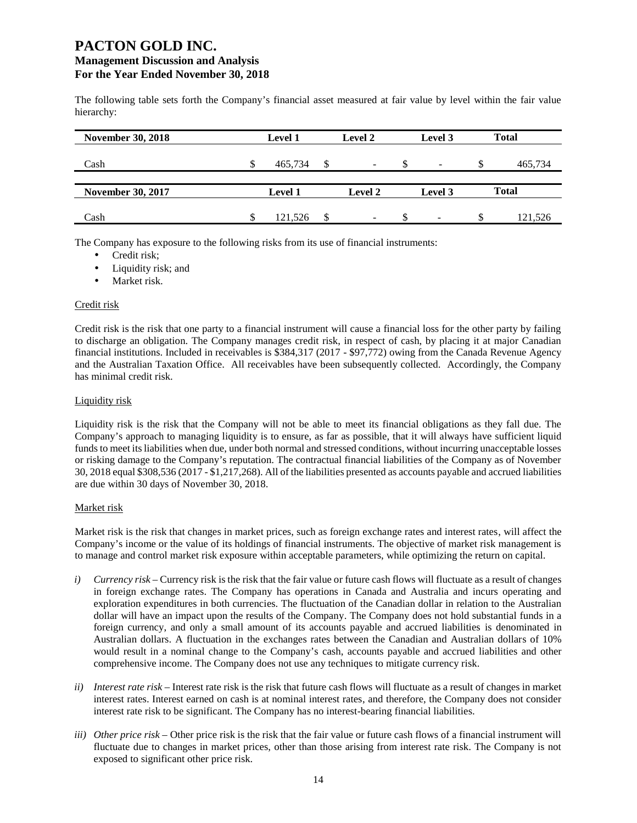The following table sets forth the Company's financial asset measured at fair value by level within the fair value hierarchy:

| <b>November 30, 2018</b> | <b>Level 1</b> | Level 2 |   | Level 3                      |   | <b>Total</b> |
|--------------------------|----------------|---------|---|------------------------------|---|--------------|
| Cash                     | 465,734        |         | ъ | $\overline{\phantom{a}}$     | S | 465,734      |
| <b>November 30, 2017</b> | <b>Level 1</b> | Level 2 |   | Level 3                      |   | <b>Total</b> |
| Cash                     | 121.526        | -       |   | $\qquad \qquad \blacksquare$ | S | 121.526      |

The Company has exposure to the following risks from its use of financial instruments:

- Credit risk;
- Liquidity risk; and
- Market risk.

#### Credit risk

Credit risk is the risk that one party to a financial instrument will cause a financial loss for the other party by failing to discharge an obligation. The Company manages credit risk, in respect of cash, by placing it at major Canadian financial institutions. Included in receivables is \$384,317 (2017 - \$97,772) owing from the Canada Revenue Agency and the Australian Taxation Office. All receivables have been subsequently collected. Accordingly, the Company has minimal credit risk.

## Liquidity risk

Liquidity risk is the risk that the Company will not be able to meet its financial obligations as they fall due. The Company's approach to managing liquidity is to ensure, as far as possible, that it will always have sufficient liquid funds to meet its liabilities when due, under both normal and stressed conditions, without incurring unacceptable losses or risking damage to the Company's reputation. The contractual financial liabilities of the Company as of November 30, 2018 equal \$308,536 (2017 - \$1,217,268). All of the liabilities presented as accounts payable and accrued liabilities are due within 30 days of November 30, 2018.

## Market risk

Market risk is the risk that changes in market prices, such as foreign exchange rates and interest rates, will affect the Company's income or the value of its holdings of financial instruments. The objective of market risk management is to manage and control market risk exposure within acceptable parameters, while optimizing the return on capital.

- *i*) *Currency risk* Currency risk is the risk that the fair value or future cash flows will fluctuate as a result of changes in foreign exchange rates. The Company has operations in Canada and Australia and incurs operating and exploration expenditures in both currencies. The fluctuation of the Canadian dollar in relation to the Australian dollar will have an impact upon the results of the Company. The Company does not hold substantial funds in a foreign currency, and only a small amount of its accounts payable and accrued liabilities is denominated in Australian dollars. A fluctuation in the exchanges rates between the Canadian and Australian dollars of 10% would result in a nominal change to the Company's cash, accounts payable and accrued liabilities and other comprehensive income. The Company does not use any techniques to mitigate currency risk.
- *ii) Interest rate risk –* Interest rate risk is the risk that future cash flows will fluctuate as a result of changes in market interest rates. Interest earned on cash is at nominal interest rates, and therefore, the Company does not consider interest rate risk to be significant. The Company has no interest-bearing financial liabilities.
- *iii) Other price risk –* Other price risk is the risk that the fair value or future cash flows of a financial instrument will fluctuate due to changes in market prices, other than those arising from interest rate risk. The Company is not exposed to significant other price risk.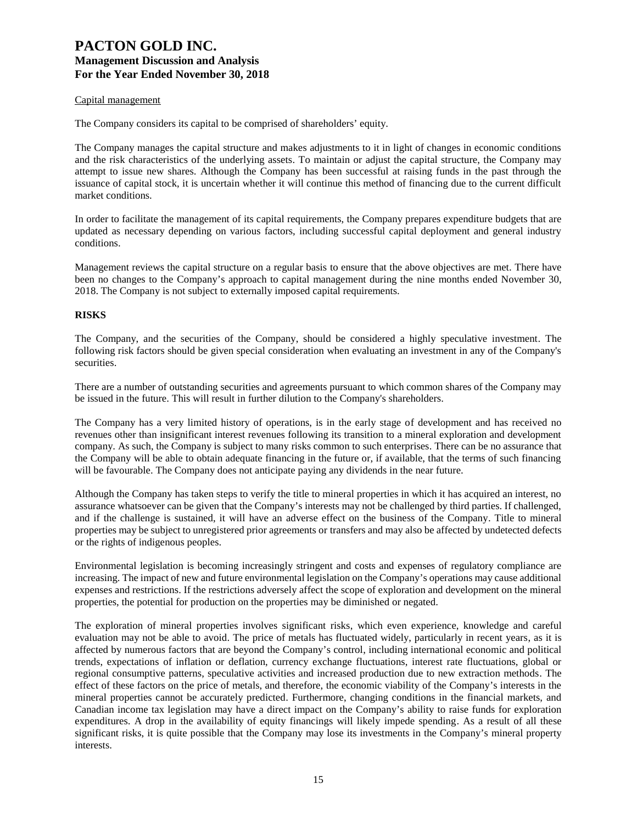#### Capital management

The Company considers its capital to be comprised of shareholders' equity.

The Company manages the capital structure and makes adjustments to it in light of changes in economic conditions and the risk characteristics of the underlying assets. To maintain or adjust the capital structure, the Company may attempt to issue new shares. Although the Company has been successful at raising funds in the past through the issuance of capital stock, it is uncertain whether it will continue this method of financing due to the current difficult market conditions.

In order to facilitate the management of its capital requirements, the Company prepares expenditure budgets that are updated as necessary depending on various factors, including successful capital deployment and general industry conditions.

Management reviews the capital structure on a regular basis to ensure that the above objectives are met. There have been no changes to the Company's approach to capital management during the nine months ended November 30, 2018. The Company is not subject to externally imposed capital requirements.

#### **RISKS**

The Company, and the securities of the Company, should be considered a highly speculative investment. The following risk factors should be given special consideration when evaluating an investment in any of the Company's securities.

There are a number of outstanding securities and agreements pursuant to which common shares of the Company may be issued in the future. This will result in further dilution to the Company's shareholders.

The Company has a very limited history of operations, is in the early stage of development and has received no revenues other than insignificant interest revenues following its transition to a mineral exploration and development company. As such, the Company is subject to many risks common to such enterprises. There can be no assurance that the Company will be able to obtain adequate financing in the future or, if available, that the terms of such financing will be favourable. The Company does not anticipate paying any dividends in the near future.

Although the Company has taken steps to verify the title to mineral properties in which it has acquired an interest, no assurance whatsoever can be given that the Company's interests may not be challenged by third parties. If challenged, and if the challenge is sustained, it will have an adverse effect on the business of the Company. Title to mineral properties may be subject to unregistered prior agreements or transfers and may also be affected by undetected defects or the rights of indigenous peoples.

Environmental legislation is becoming increasingly stringent and costs and expenses of regulatory compliance are increasing. The impact of new and future environmental legislation on the Company's operations may cause additional expenses and restrictions. If the restrictions adversely affect the scope of exploration and development on the mineral properties, the potential for production on the properties may be diminished or negated.

The exploration of mineral properties involves significant risks, which even experience, knowledge and careful evaluation may not be able to avoid. The price of metals has fluctuated widely, particularly in recent years, as it is affected by numerous factors that are beyond the Company's control, including international economic and political trends, expectations of inflation or deflation, currency exchange fluctuations, interest rate fluctuations, global or regional consumptive patterns, speculative activities and increased production due to new extraction methods. The effect of these factors on the price of metals, and therefore, the economic viability of the Company's interests in the mineral properties cannot be accurately predicted. Furthermore, changing conditions in the financial markets, and Canadian income tax legislation may have a direct impact on the Company's ability to raise funds for exploration expenditures. A drop in the availability of equity financings will likely impede spending. As a result of all these significant risks, it is quite possible that the Company may lose its investments in the Company's mineral property interests.